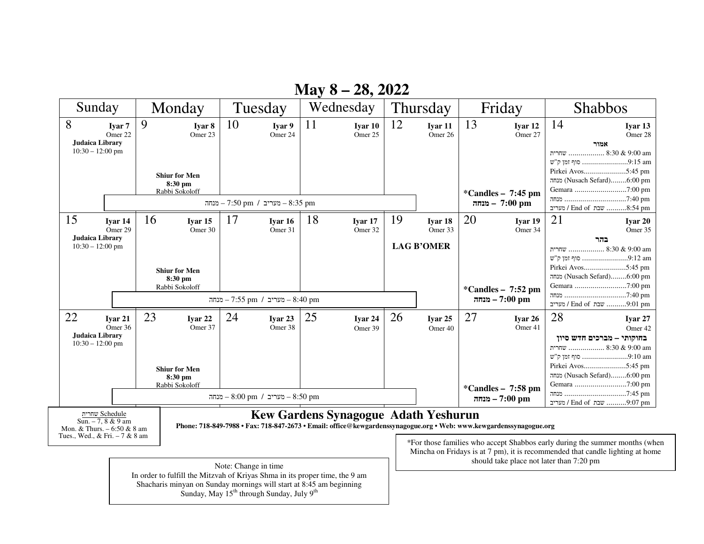